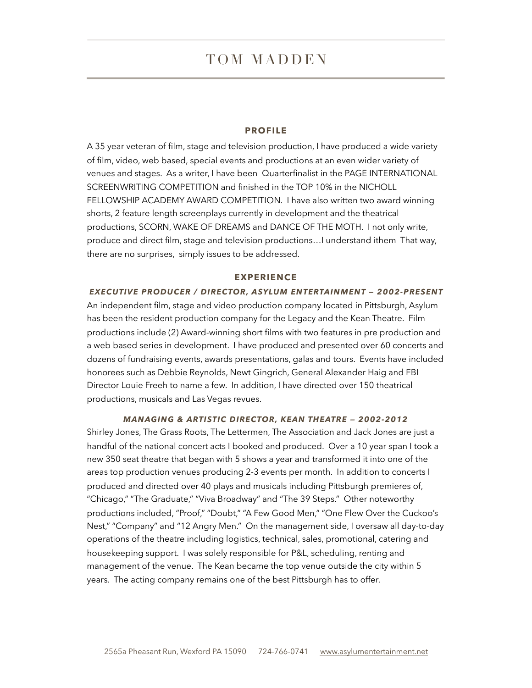# TOM MADDEN

#### **PROFILE**

A 35 year veteran of film, stage and television production, I have produced a wide variety of film, video, web based, special events and productions at an even wider variety of venues and stages. As a writer, I have been Quarterfinalist in the PAGE INTERNATIONAL SCREENWRITING COMPETITION and finished in the TOP 10% in the NICHOLL FELLOWSHIP ACADEMY AWARD COMPETITION. I have also written two award winning shorts, 2 feature length screenplays currently in development and the theatrical productions, SCORN, WAKE OF DREAMS and DANCE OF THE MOTH. I not only write, produce and direct film, stage and television productions…I understand ithem That way, there are no surprises, simply issues to be addressed.

#### **EXPERIENCE**

*EXECUTIVE PRODUCER / DIRECTOR, ASYLUM ENTERTAINMENT — 2002-PRESENT*  An independent film, stage and video production company located in Pittsburgh, Asylum has been the resident production company for the Legacy and the Kean Theatre. Film productions include (2) Award-winning short films with two features in pre production and a web based series in development. I have produced and presented over 60 concerts and dozens of fundraising events, awards presentations, galas and tours. Events have included honorees such as Debbie Reynolds, Newt Gingrich, General Alexander Haig and FBI Director Louie Freeh to name a few. In addition, I have directed over 150 theatrical productions, musicals and Las Vegas revues.

#### *MANAGING & ARTISTIC DIRECTOR, KEAN THEATRE — 2002-2012*

Shirley Jones, The Grass Roots, The Lettermen, The Association and Jack Jones are just a handful of the national concert acts I booked and produced. Over a 10 year span I took a new 350 seat theatre that began with 5 shows a year and transformed it into one of the areas top production venues producing 2-3 events per month. In addition to concerts I produced and directed over 40 plays and musicals including Pittsburgh premieres of, "Chicago," "The Graduate," "Viva Broadway" and "The 39 Steps." Other noteworthy productions included, "Proof," "Doubt," "A Few Good Men," "One Flew Over the Cuckoo's Nest," "Company" and "12 Angry Men." On the management side, I oversaw all day-to-day operations of the theatre including logistics, technical, sales, promotional, catering and housekeeping support. I was solely responsible for P&L, scheduling, renting and management of the venue. The Kean became the top venue outside the city within 5 years. The acting company remains one of the best Pittsburgh has to offer.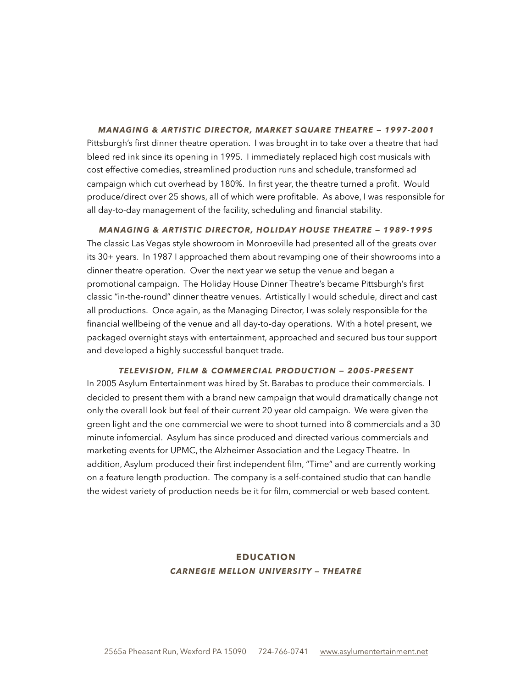*MANAGING & ARTISTIC DIRECTOR, MARKET SQUARE THEATRE — 1997-2001*  Pittsburgh's first dinner theatre operation. I was brought in to take over a theatre that had bleed red ink since its opening in 1995. I immediately replaced high cost musicals with cost effective comedies, streamlined production runs and schedule, transformed ad campaign which cut overhead by 180%. In first year, the theatre turned a profit. Would produce/direct over 25 shows, all of which were profitable. As above, I was responsible for all day-to-day management of the facility, scheduling and financial stability.

*MANAGING & ARTISTIC DIRECTOR, HOLIDAY HOUSE THEATRE — 1989-1995*  The classic Las Vegas style showroom in Monroeville had presented all of the greats over its 30+ years. In 1987 I approached them about revamping one of their showrooms into a dinner theatre operation. Over the next year we setup the venue and began a promotional campaign. The Holiday House Dinner Theatre's became Pittsburgh's first classic "in-the-round" dinner theatre venues. Artistically I would schedule, direct and cast all productions. Once again, as the Managing Director, I was solely responsible for the financial wellbeing of the venue and all day-to-day operations. With a hotel present, we packaged overnight stays with entertainment, approached and secured bus tour support and developed a highly successful banquet trade.

*TELEVISION, FILM & COMMERCIAL PRODUCTION — 2005-PRESENT* 

In 2005 Asylum Entertainment was hired by St. Barabas to produce their commercials. I decided to present them with a brand new campaign that would dramatically change not only the overall look but feel of their current 20 year old campaign. We were given the green light and the one commercial we were to shoot turned into 8 commercials and a 30 minute infomercial. Asylum has since produced and directed various commercials and marketing events for UPMC, the Alzheimer Association and the Legacy Theatre. In addition, Asylum produced their first independent film, "Time" and are currently working on a feature length production. The company is a self-contained studio that can handle the widest variety of production needs be it for film, commercial or web based content.

## **EDUCATION**  *CARNEGIE MELLON UNIVERSITY — THEATRE*